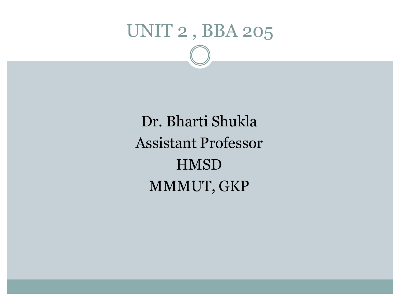# UNIT 2 , BBA 205

Dr. Bharti Shukla Assistant Professor **HMSD** MMMUT, GKP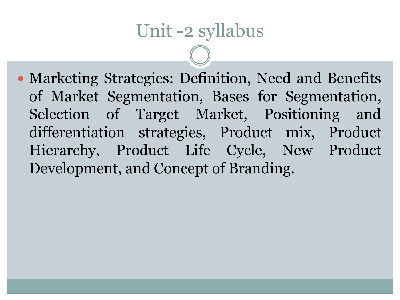# Unit -2 syllabus

• Marketing Strategies: Definition, Need and Benefits of Market Segmentation, Bases for Segmentation, Selection of Target Market, Positioning and differentiation strategies, Product mix, Product Hierarchy, Product Life Cycle, New Product Development, and Concept of Branding.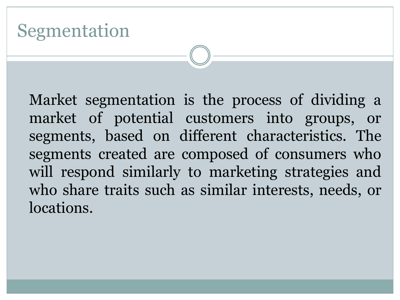# Segmentation

Market segmentation is the process of dividing a market of potential customers into groups, or segments, based on different characteristics. The segments created are composed of consumers who will respond similarly to marketing strategies and who share traits such as similar interests, needs, or locations.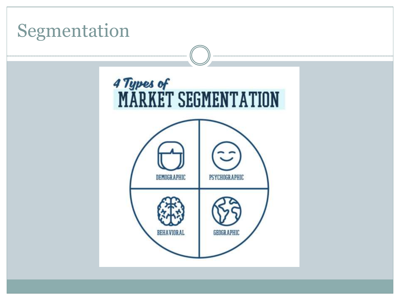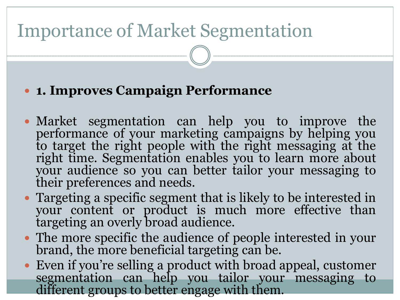# Importance of Market Segmentation

#### **1. Improves Campaign Performance**

- Market segmentation can help you to improve the performance of your marketing campaigns by helping you to target the right people with the right messaging at the right time. Segmentation enables you to learn more about your audience so you can better tailor your messaging to their preferences and needs.
- Targeting a specific segment that is likely to be interested in your content or product is much more effective than targeting an overly broad audience.
- The more specific the audience of people interested in your brand, the more beneficial targeting can be.
- Even if you're selling a product with broad appeal, customer segmentation can help you tailor your messaging to different groups to better engage with them.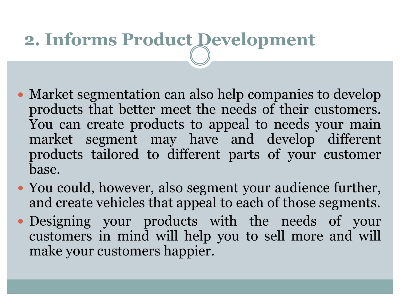# **2. Informs Product Development**

- Market segmentation can also help companies to develop products that better meet the needs of their customers. You can create products to appeal to needs your main market segment may have and develop different products tailored to different parts of your customer base.
- You could, however, also segment your audience further, and create vehicles that appeal to each of those segments.
- Designing your products with the needs of your customers in mind will help you to sell more and will make your customers happier.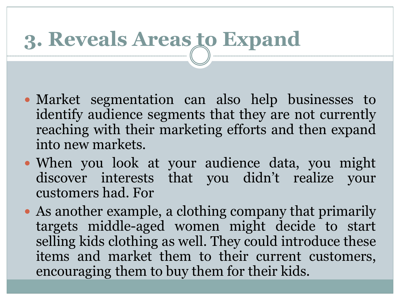# **3. Reveals Areas to Expand**

- Market segmentation can also help businesses to identify audience segments that they are not currently reaching with their marketing efforts and then expand into new markets.
- When you look at your audience data, you might discover interests that you didn't realize your customers had. For
- As another example, a clothing company that primarily targets middle-aged women might decide to start selling kids clothing as well. They could introduce these items and market them to their current customers, encouraging them to buy them for their kids.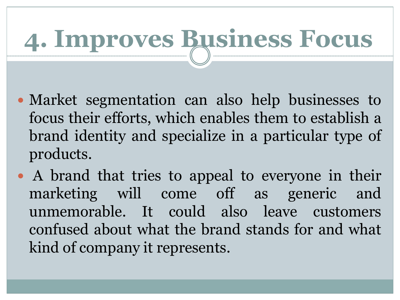# **4. Improves Business Focus**

- Market segmentation can also help businesses to focus their efforts, which enables them to establish a brand identity and specialize in a particular type of products.
- A brand that tries to appeal to everyone in their marketing will come off as generic and unmemorable. It could also leave customers confused about what the brand stands for and what kind of company it represents.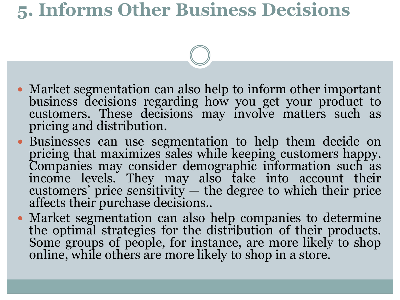### **5. Informs Other Business Decisions**

- Market segmentation can also help to inform other important business decisions regarding how you get your product to customers. These decisions may involve matters such as pricing and distribution.
- Businesses can use segmentation to help them decide on pricing that maximizes sales while keeping customers happy. Companies may consider demographic information such as income levels. They may also take into account their customers' price sensitivity — the degree to which their price affects their purchase decisions..
- Market segmentation can also help companies to determine the optimal strategies for the distribution of their products. Some groups of people, for instance, are more likely to shop online, while others are more likely to shop in a store.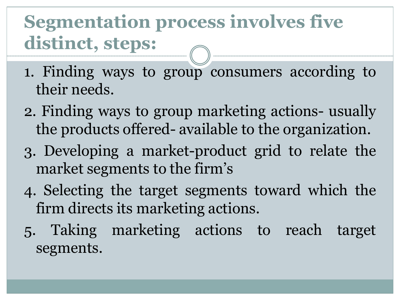# **Segmentation process involves five distinct, steps:**

- 1. Finding ways to group consumers according to their needs.
- 2. Finding ways to group marketing actions- usually the products offered- available to the organization.
- 3. Developing a market-product grid to relate the market segments to the firm's
- 4. Selecting the target segments toward which the firm directs its marketing actions.
- 5. Taking marketing actions to reach target segments.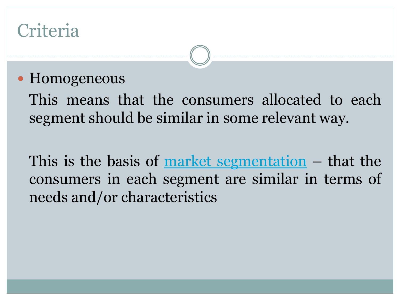# **Criteria**

#### • Homogeneous

This means that the consumers allocated to each segment should be similar in some relevant way.

This is the basis of market [segmentation](https://www.segmentationstudyguide.com/understanding-market-segmentation/market-segmentation/) – that the consumers in each segment are similar in terms of needs and/or characteristics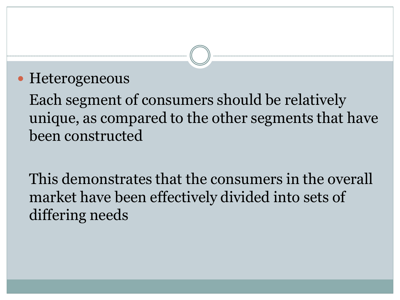#### • Heterogeneous

Each segment of consumers should be relatively unique, as compared to the other segments that have been constructed

This demonstrates that the consumers in the overall market have been effectively divided into sets of differing needs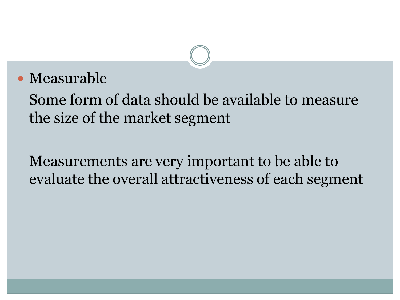#### Measurable

Some form of data should be available to measure the size of the market segment

Measurements are very important to be able to evaluate the overall attractiveness of each segment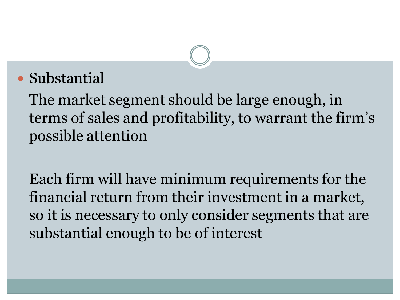#### • Substantial

The market segment should be large enough, in terms of sales and profitability, to warrant the firm's possible attention

Each firm will have minimum requirements for the financial return from their investment in a market, so it is necessary to only consider segments that are substantial enough to be of interest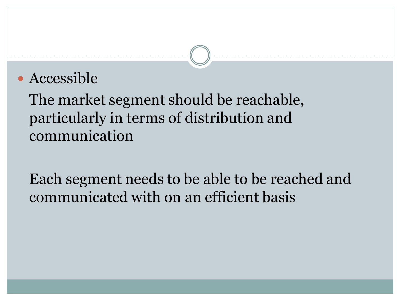#### • Accessible

The market segment should be reachable, particularly in terms of distribution and communication

Each segment needs to be able to be reached and communicated with on an efficient basis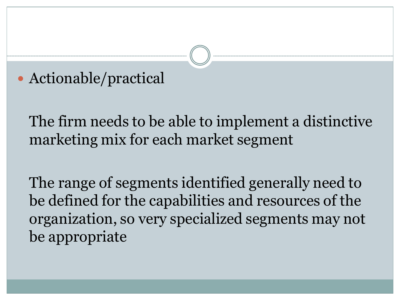#### Actionable/practical

The firm needs to be able to implement a distinctive marketing mix for each market segment

The range of segments identified generally need to be defined for the capabilities and resources of the organization, so very specialized segments may not be appropriate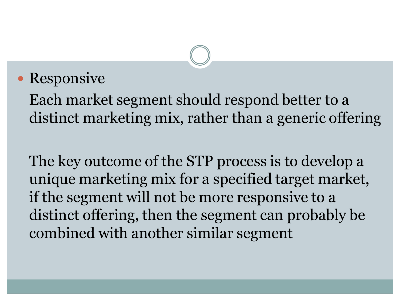#### • Responsive

Each market segment should respond better to a distinct marketing mix, rather than a generic offering

The key outcome of the STP process is to develop a unique marketing mix for a specified target market, if the segment will not be more responsive to a distinct offering, then the segment can probably be combined with another similar segment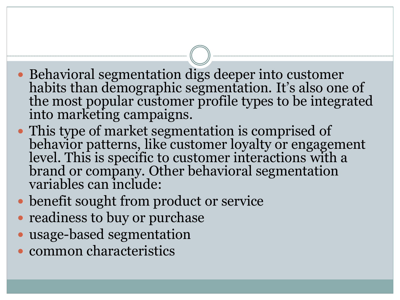- Behavioral segmentation digs deeper into customer habits than demographic segmentation. It's also one of the most popular customer profile types to be integrated into marketing campaigns.
- This type of market segmentation is comprised of behavior patterns, like customer loyalty or engagement level. This is specific to customer interactions with a brand or company. Other behavioral segmentation variables can include:
- benefit sought from product or service
- readiness to buy or purchase
- usage-based segmentation
- common characteristics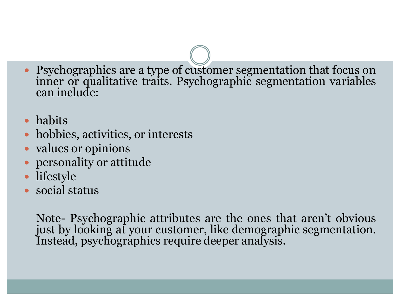- Psychographics are a type of customer segmentation that focus on inner or qualitative traits. Psychographic segmentation variables can include:
- habits
- hobbies, activities, or interests
- values or opinions
- personality or attitude
- lifestyle
- social status

Note- Psychographic attributes are the ones that aren't obvious just by looking at your customer, like demographic segmentation. Instead, psychographics require deeper analysis.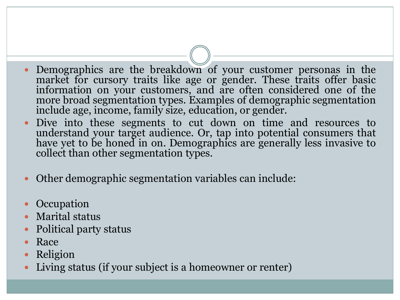- Demographics are the breakdown of your customer personas in the market for cursory traits like age or gender. These traits offer basic information on your customers, and are often considered one of the more broad segmentation types. Examples of demographic segmentation include age, income, family size, education, or gender.
- Dive into these segments to cut down on time and resources to understand your target audience. Or, tap into potential consumers that have yet to be honed in on. Demographics are generally less invasive to collect than other segmentation types.
- Other demographic segmentation variables can include:
- **Occupation**
- Marital status
- Political party status
- Race
- Religion
- Living status (if your subject is a homeowner or renter)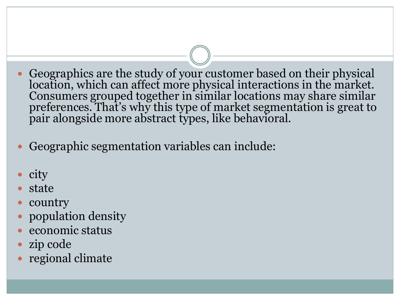- Geographics are the study of your customer based on their physical location, which can affect more physical interactions in the market. Consumers grouped together in similar locations may share similar preferences. That's why this type of market segmentation is great to pair alongside more abstract types, like behavioral.
- Geographic segmentation variables can include:
- city
- state
- country
- population density
- economic status
- zip code
- regional climate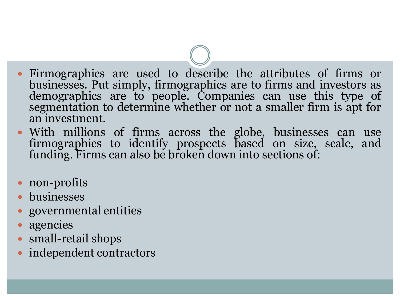- Firmographics are used to describe the attributes of firms or businesses. Put simply, firmographics are to firms and investors as demographics are to people. Companies can use this type of segmentation to determine whether or not a smaller firm is apt for an investment.
- With millions of firms across the globe, businesses can use firmographics to identify prospects based on size, scale, and funding. Firms can also be broken down into sections of:
- non-profits
- businesses
- governmental entities
- agencies
- small-retail shops
- independent contractors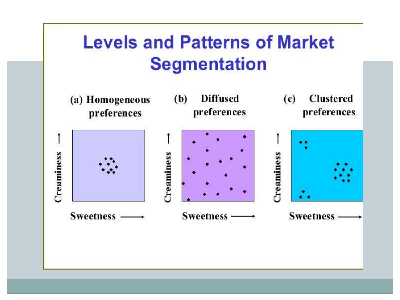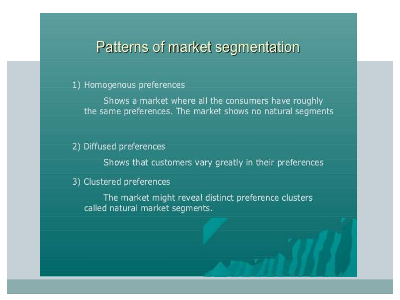#### Patterns of market segmentation

#### 1) Homogenous preferences

Shows a market where all the consumers have roughly the same preferences. The market shows no natural segments

#### 2) Diffused preferences

Shows that customers vary greatly in their preferences

#### 3) Clustered preferences

The market might reveal distinct preference clusters called natural market segments.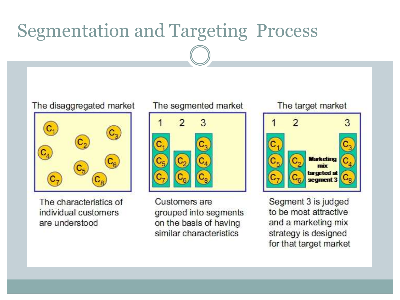#### Segmentation and Targeting ProcessThe disaggregated market The segmented market The target market 3 **Marketing** mix  $C<sub>5</sub>$ targeted at segment 3 The characteristics of Customers are Segment 3 is judged to be most attractive individual customers grouped into segments on the basis of having and a marketing mix are understood similar characteristics strategy is designed for that target market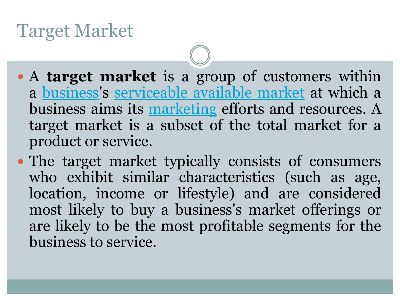### Target Market

- A **target market** is a group of customers within a [business](https://en.wikipedia.org/wiki/Business)'s [serviceable](https://en.wikipedia.org/wiki/Serviceable_available_market) available market at which a business aims its [marketing](https://en.wikipedia.org/wiki/Marketing) efforts and resources. A target market is a subset of the total market for a product or service.
- The target market typically consists of consumers who exhibit similar characteristics (such as age, location, income or lifestyle) and are considered most likely to buy a business's market offerings or are likely to be the most profitable segments for the business to service.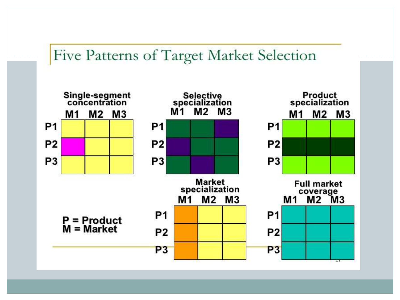#### Five Patterns of Target Market Selection

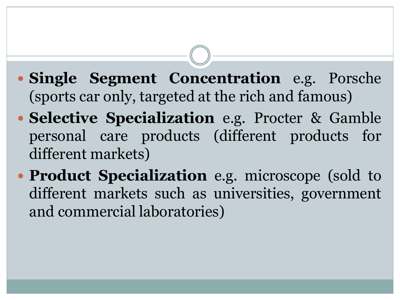- **Single Segment Concentration** e.g. Porsche (sports car only, targeted at the rich and famous)
- **Selective Specialization** e.g. Procter & Gamble personal care products (different products for different markets)
- **Product Specialization** e.g. microscope (sold to different markets such as universities, government and commercial laboratories)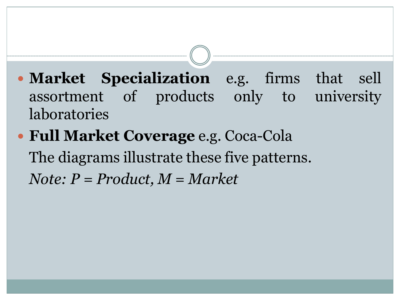- **Market Specialization** e.g. firms that sell assortment of products only to university laboratories
- **Full Market Coverage** e.g. Coca-Cola The diagrams illustrate these five patterns. *Note: P = Product, M = Market*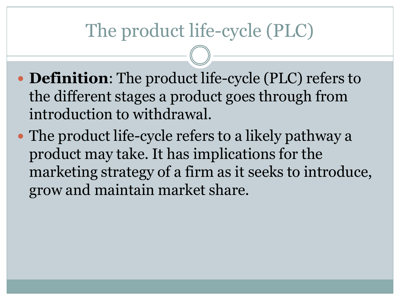# The product life-cycle (PLC)

- **Definition**: The product life-cycle (PLC) refers to the different stages a product goes through from introduction to withdrawal.
- The product life-cycle refers to a likely pathway a product may take. It has implications for the marketing strategy of a firm as it seeks to introduce, grow and maintain market share.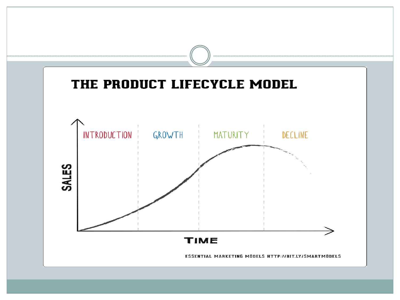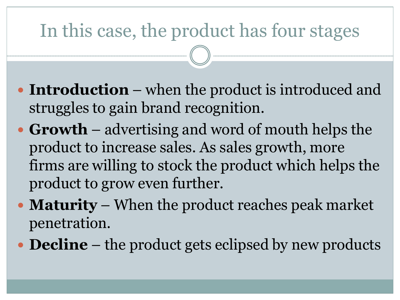# In this case, the product has four stages

- **Introduction** when the product is introduced and struggles to gain brand recognition.
- **Growth** advertising and word of mouth helps the product to increase sales. As sales growth, more firms are willing to stock the product which helps the product to grow even further.
- **Maturity** When the product reaches peak market penetration.
- **Decline** the product gets eclipsed by new products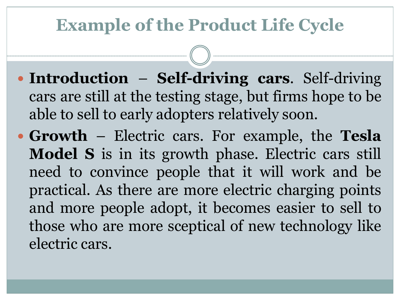### **Example of the Product Life Cycle**

- **Introduction Self-driving cars**. Self-driving cars are still at the testing stage, but firms hope to be able to sell to early adopters relatively soon.
- **Growth** Electric cars. For example, the **Tesla Model S** is in its growth phase. Electric cars still need to convince people that it will work and be practical. As there are more electric charging points and more people adopt, it becomes easier to sell to those who are more sceptical of new technology like electric cars.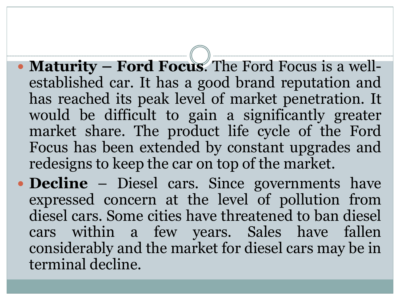- **Maturity – Ford Focus**. The Ford Focus is a wellestablished car. It has a good brand reputation and has reached its peak level of market penetration. It would be difficult to gain a significantly greater market share. The product life cycle of the Ford Focus has been extended by constant upgrades and redesigns to keep the car on top of the market.
- **Decline** Diesel cars. Since governments have expressed concern at the level of pollution from diesel cars. Some cities have threatened to ban diesel cars within a few years. Sales have fallen considerably and the market for diesel cars may be in terminal decline.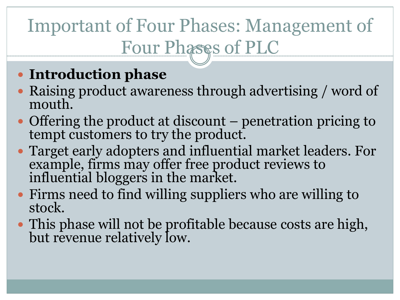# Important of Four Phases: Management of Four Phases of PLC

#### **Introduction phase**

- Raising product awareness through advertising / word of mouth.
- Offering the product at discount penetration pricing to tempt customers to try the product.
- Target early adopters and influential market leaders. For example, firms may offer free product reviews to influential bloggers in the market.
- Firms need to find willing suppliers who are willing to stock.
- This phase will not be profitable because costs are high, but revenue relatively low.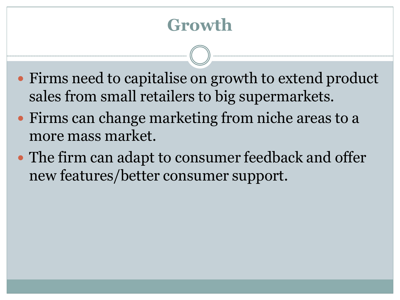### **Growth**

- Firms need to capitalise on growth to extend product sales from small retailers to big supermarkets.
- Firms can change marketing from niche areas to a more mass market.
- The firm can adapt to consumer feedback and offer new features/better consumer support.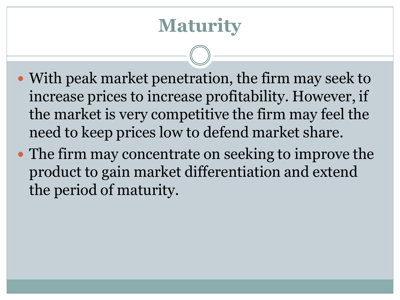# **Maturity**

- With peak market penetration, the firm may seek to increase prices to increase profitability. However, if the market is very competitive the firm may feel the need to keep prices low to defend market share.
- The firm may concentrate on seeking to improve the product to gain market differentiation and extend the period of maturity.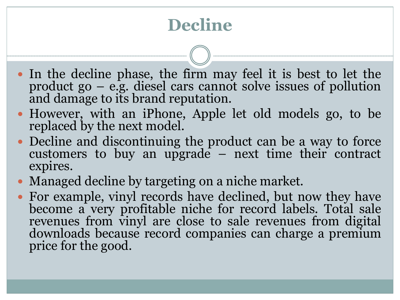# **Decline**

- In the decline phase, the firm may feel it is best to let the product go – e.g. diesel cars cannot solve issues of pollution and damage to its brand reputation.
- However, with an iPhone, Apple let old models go, to be replaced by the next model.
- Decline and discontinuing the product can be a way to force customers to buy an upgrade – next time their contract expires.
- Managed decline by targeting on a niche market.
- For example, vinyl records have declined, but now they have become a very profitable niche for record labels. Total sale revenues from vinyl are close to sale revenues from digital downloads because record companies can charge a premium price for the good.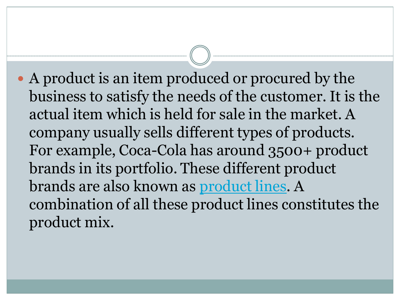A product is an item produced or procured by the business to satisfy the needs of the customer. It is the actual item which is held for sale in the market. A company usually sells different types of products. For example, Coca-Cola has around 3500+ product brands in its portfolio. These different product brands are also known as [product lines.](https://www.feedough.com/what-is-product-line/) A combination of all these product lines constitutes the product mix.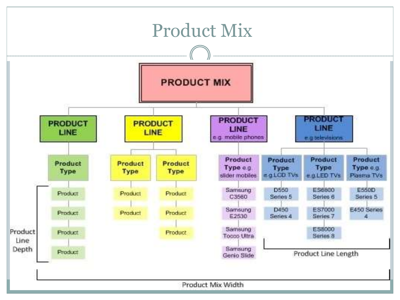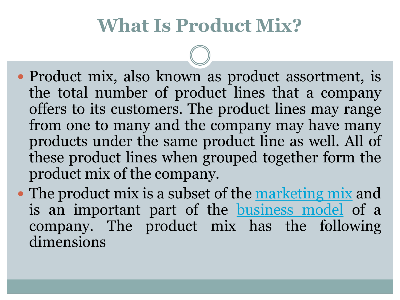# **What Is Product Mix?**

- Product mix, also known as product assortment, is the total number of product lines that a company offers to its customers. The product lines may range from one to many and the company may have many products under the same product line as well. All of these product lines when grouped together form the product mix of the company.
- The product mix is a subset of the [marketing](https://www.feedough.com/marketing-mix-4ps/) mix and is an important part of the [business](https://www.feedough.com/what-is-a-business-model/) model of a company. The product mix has the following dimensions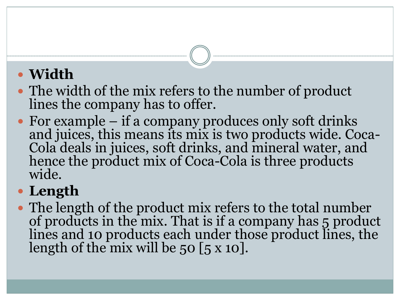#### **Width**

- The width of the mix refers to the number of product lines the company has to offer.
- For example if a company produces only soft drinks and juices, this means its mix is two products wide. Coca-Cola deals in juices, soft drinks, and mineral water, and hence the product mix of Coca-Cola is three products wide.

#### **Length**

 The length of the product mix refers to the total number of products in the mix. That is if a company has 5 product lines and 10 products each under those product lines, the length of the mix will be  $50$  [ $5 \times 10$ ].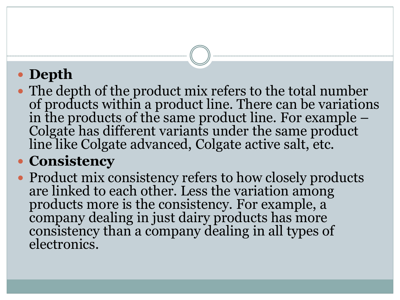#### **Depth**

• The depth of the product mix refers to the total number of products within a product line. There can be variations in the products of the same product line. For example – Colgate has different variants under the same product line like Colgate advanced, Colgate active salt, etc.

#### **Consistency**

• Product mix consistency refers to how closely products are linked to each other. Less the variation among products more is the consistency. For example, a company dealing in just dairy products has more consistency than a company dealing in all types of electronics.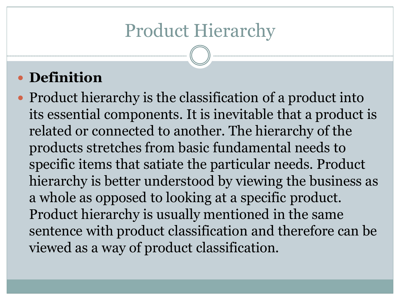# Product Hierarchy

#### **Definition**

• Product hierarchy is the classification of a product into its essential components. It is inevitable that a product is related or connected to another. The hierarchy of the products stretches from basic fundamental needs to specific items that satiate the particular needs. Product hierarchy is better understood by viewing the business as a whole as opposed to looking at a specific product. Product hierarchy is usually mentioned in the same sentence with product classification and therefore can be viewed as a way of product classification.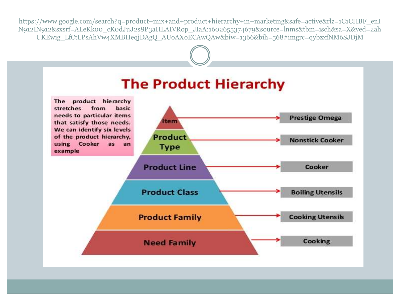https://www.google.com/search?q=product+mix+and+product+hierarchy+in+marketing&safe=active&rlz=1C1CHBF\_enI N912IN912&sxsrf=ALeKk00\_cK0dJuJ2s8P3aHLAIVRop\_JIaA:1602655374679&source=lnms&tbm=isch&sa=X&ved=2ah UKEwig\_LfCtLPsAhVw4XMBHeqjDAgQ\_AUoAXoECAwQAw&biw=1366&bih=568#imgrc=qybzxfNM6SJDjM

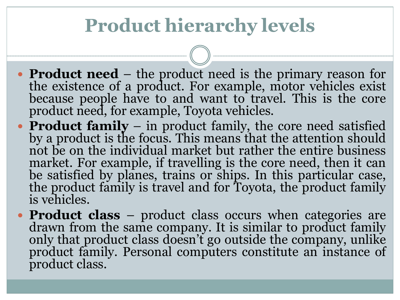# **Product hierarchy levels**

- **Product need** the product need is the primary reason for the existence of a product. For example, motor vehicles exist because people have to and want to travel. This is the core product need, for example, Toyota vehicles.
- **Product family** in product family, the core need satisfied by a product is the focus. This means that the attention should not be on the individual market but rather the entire business market. For example, if travelling is the core need, then it can be satisfied by planes, trains or ships. In this particular case, the product family is travel and for Toyota, the product family is vehicles.
- **Product class** product class occurs when categories are drawn from the same company. It is similar to product family only that product class doesn't go outside the company, unlike product family. Personal computers constitute an instance of product class.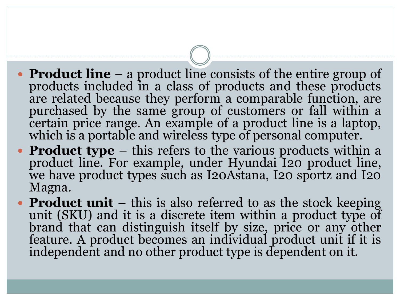- **Product line** a product line consists of the entire group of products included in a class of products and these products are related because they perform a comparable function, are purchased by the same group of customers or fall within a certain price range. An example of a product line is a laptop, which is a portable and wireless type of personal computer.
- **Product type** this refers to the various products within a product line. For example, under Hyundai I20 product line, we have product types such as I20Astana, I20 sportz and I20 Magna.
- **Product unit** this is also referred to as the stock keeping unit (SKU) and it is a discrete item within a product type of brand that can distinguish itself by size, price or any other feature. A product becomes an individual product unit if it is independent and no other product type is dependent on it.